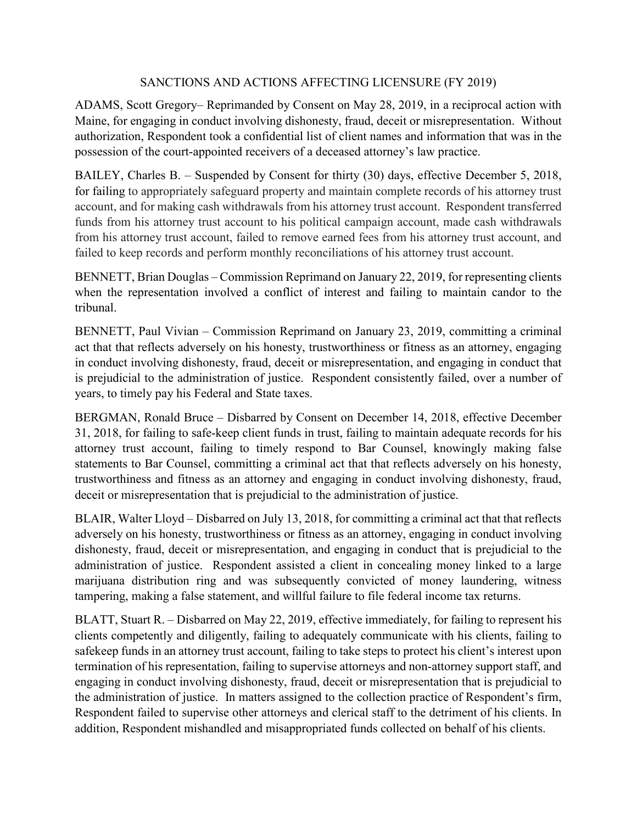## SANCTIONS AND ACTIONS AFFECTING LICENSURE (FY 2019)

ADAMS, Scott Gregory– Reprimanded by Consent on May 28, 2019, in a reciprocal action with Maine, for engaging in conduct involving dishonesty, fraud, deceit or misrepresentation. Without authorization, Respondent took a confidential list of client names and information that was in the possession of the court-appointed receivers of a deceased attorney's law practice.

BAILEY, Charles B. – Suspended by Consent for thirty (30) days, effective December 5, 2018, for failing to appropriately safeguard property and maintain complete records of his attorney trust account, and for making cash withdrawals from his attorney trust account. Respondent transferred funds from his attorney trust account to his political campaign account, made cash withdrawals from his attorney trust account, failed to remove earned fees from his attorney trust account, and failed to keep records and perform monthly reconciliations of his attorney trust account.

BENNETT, Brian Douglas – Commission Reprimand on January 22, 2019, for representing clients when the representation involved a conflict of interest and failing to maintain candor to the tribunal.

BENNETT, Paul Vivian – Commission Reprimand on January 23, 2019, committing a criminal act that that reflects adversely on his honesty, trustworthiness or fitness as an attorney, engaging in conduct involving dishonesty, fraud, deceit or misrepresentation, and engaging in conduct that is prejudicial to the administration of justice. Respondent consistently failed, over a number of years, to timely pay his Federal and State taxes.

BERGMAN, Ronald Bruce – Disbarred by Consent on December 14, 2018, effective December 31, 2018, for failing to safe-keep client funds in trust, failing to maintain adequate records for his attorney trust account, failing to timely respond to Bar Counsel, knowingly making false statements to Bar Counsel, committing a criminal act that that reflects adversely on his honesty, trustworthiness and fitness as an attorney and engaging in conduct involving dishonesty, fraud, deceit or misrepresentation that is prejudicial to the administration of justice.

BLAIR, Walter Lloyd – Disbarred on July 13, 2018, for committing a criminal act that that reflects adversely on his honesty, trustworthiness or fitness as an attorney, engaging in conduct involving dishonesty, fraud, deceit or misrepresentation, and engaging in conduct that is prejudicial to the administration of justice. Respondent assisted a client in concealing money linked to a large marijuana distribution ring and was subsequently convicted of money laundering, witness tampering, making a false statement, and willful failure to file federal income tax returns.

BLATT, Stuart R. – Disbarred on May 22, 2019, effective immediately, for failing to represent his clients competently and diligently, failing to adequately communicate with his clients, failing to safekeep funds in an attorney trust account, failing to take steps to protect his client's interest upon termination of his representation, failing to supervise attorneys and non-attorney support staff, and engaging in conduct involving dishonesty, fraud, deceit or misrepresentation that is prejudicial to the administration of justice. In matters assigned to the collection practice of Respondent's firm, Respondent failed to supervise other attorneys and clerical staff to the detriment of his clients. In addition, Respondent mishandled and misappropriated funds collected on behalf of his clients.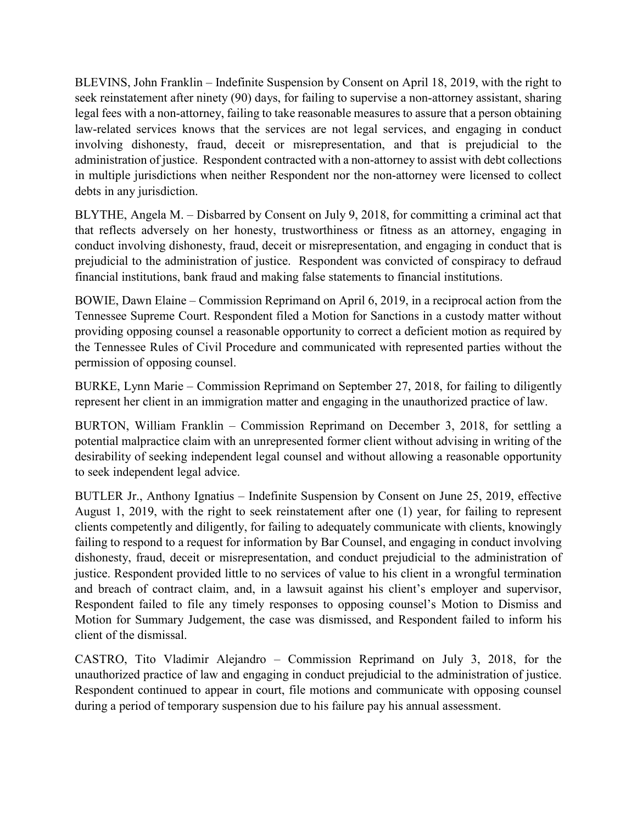BLEVINS, John Franklin – Indefinite Suspension by Consent on April 18, 2019, with the right to seek reinstatement after ninety (90) days, for failing to supervise a non-attorney assistant, sharing legal fees with a non-attorney, failing to take reasonable measures to assure that a person obtaining law-related services knows that the services are not legal services, and engaging in conduct involving dishonesty, fraud, deceit or misrepresentation, and that is prejudicial to the administration of justice. Respondent contracted with a non-attorney to assist with debt collections in multiple jurisdictions when neither Respondent nor the non-attorney were licensed to collect debts in any jurisdiction.

BLYTHE, Angela M. – Disbarred by Consent on July 9, 2018, for committing a criminal act that that reflects adversely on her honesty, trustworthiness or fitness as an attorney, engaging in conduct involving dishonesty, fraud, deceit or misrepresentation, and engaging in conduct that is prejudicial to the administration of justice. Respondent was convicted of conspiracy to defraud financial institutions, bank fraud and making false statements to financial institutions.

BOWIE, Dawn Elaine – Commission Reprimand on April 6, 2019, in a reciprocal action from the Tennessee Supreme Court. Respondent filed a Motion for Sanctions in a custody matter without providing opposing counsel a reasonable opportunity to correct a deficient motion as required by the Tennessee Rules of Civil Procedure and communicated with represented parties without the permission of opposing counsel.

BURKE, Lynn Marie – Commission Reprimand on September 27, 2018, for failing to diligently represent her client in an immigration matter and engaging in the unauthorized practice of law.

BURTON, William Franklin – Commission Reprimand on December 3, 2018, for settling a potential malpractice claim with an unrepresented former client without advising in writing of the desirability of seeking independent legal counsel and without allowing a reasonable opportunity to seek independent legal advice.

BUTLER Jr., Anthony Ignatius – Indefinite Suspension by Consent on June 25, 2019, effective August 1, 2019, with the right to seek reinstatement after one (1) year, for failing to represent clients competently and diligently, for failing to adequately communicate with clients, knowingly failing to respond to a request for information by Bar Counsel, and engaging in conduct involving dishonesty, fraud, deceit or misrepresentation, and conduct prejudicial to the administration of justice. Respondent provided little to no services of value to his client in a wrongful termination and breach of contract claim, and, in a lawsuit against his client's employer and supervisor, Respondent failed to file any timely responses to opposing counsel's Motion to Dismiss and Motion for Summary Judgement, the case was dismissed, and Respondent failed to inform his client of the dismissal.

CASTRO, Tito Vladimir Alejandro – Commission Reprimand on July 3, 2018, for the unauthorized practice of law and engaging in conduct prejudicial to the administration of justice. Respondent continued to appear in court, file motions and communicate with opposing counsel during a period of temporary suspension due to his failure pay his annual assessment.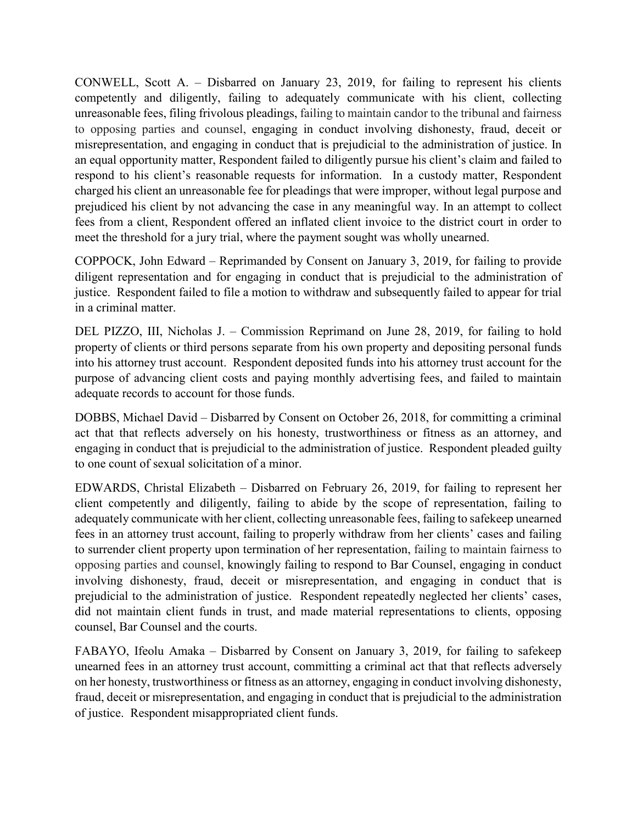CONWELL, Scott A. – Disbarred on January 23, 2019, for failing to represent his clients competently and diligently, failing to adequately communicate with his client, collecting unreasonable fees, filing frivolous pleadings, failing to maintain candor to the tribunal and fairness to opposing parties and counsel, engaging in conduct involving dishonesty, fraud, deceit or misrepresentation, and engaging in conduct that is prejudicial to the administration of justice. In an equal opportunity matter, Respondent failed to diligently pursue his client's claim and failed to respond to his client's reasonable requests for information. In a custody matter, Respondent charged his client an unreasonable fee for pleadings that were improper, without legal purpose and prejudiced his client by not advancing the case in any meaningful way. In an attempt to collect fees from a client, Respondent offered an inflated client invoice to the district court in order to meet the threshold for a jury trial, where the payment sought was wholly unearned.

COPPOCK, John Edward – Reprimanded by Consent on January 3, 2019, for failing to provide diligent representation and for engaging in conduct that is prejudicial to the administration of justice. Respondent failed to file a motion to withdraw and subsequently failed to appear for trial in a criminal matter.

DEL PIZZO, III, Nicholas J. – Commission Reprimand on June 28, 2019, for failing to hold property of clients or third persons separate from his own property and depositing personal funds into his attorney trust account. Respondent deposited funds into his attorney trust account for the purpose of advancing client costs and paying monthly advertising fees, and failed to maintain adequate records to account for those funds.

DOBBS, Michael David – Disbarred by Consent on October 26, 2018, for committing a criminal act that that reflects adversely on his honesty, trustworthiness or fitness as an attorney, and engaging in conduct that is prejudicial to the administration of justice. Respondent pleaded guilty to one count of sexual solicitation of a minor.

EDWARDS, Christal Elizabeth – Disbarred on February 26, 2019, for failing to represent her client competently and diligently, failing to abide by the scope of representation, failing to adequately communicate with her client, collecting unreasonable fees, failing to safekeep unearned fees in an attorney trust account, failing to properly withdraw from her clients' cases and failing to surrender client property upon termination of her representation, failing to maintain fairness to opposing parties and counsel, knowingly failing to respond to Bar Counsel, engaging in conduct involving dishonesty, fraud, deceit or misrepresentation, and engaging in conduct that is prejudicial to the administration of justice. Respondent repeatedly neglected her clients' cases, did not maintain client funds in trust, and made material representations to clients, opposing counsel, Bar Counsel and the courts.

FABAYO, Ifeolu Amaka – Disbarred by Consent on January 3, 2019, for failing to safekeep unearned fees in an attorney trust account, committing a criminal act that that reflects adversely on her honesty, trustworthiness or fitness as an attorney, engaging in conduct involving dishonesty, fraud, deceit or misrepresentation, and engaging in conduct that is prejudicial to the administration of justice. Respondent misappropriated client funds.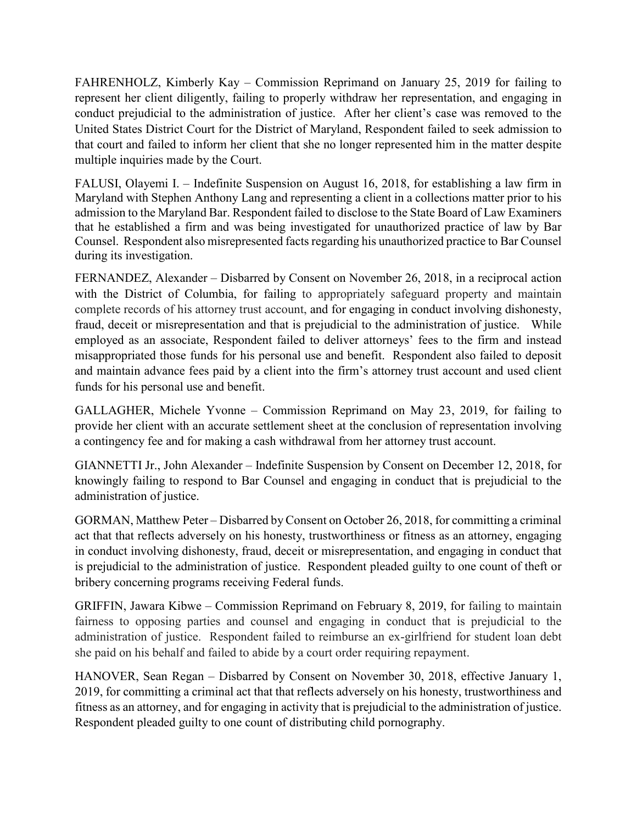FAHRENHOLZ, Kimberly Kay – Commission Reprimand on January 25, 2019 for failing to represent her client diligently, failing to properly withdraw her representation, and engaging in conduct prejudicial to the administration of justice. After her client's case was removed to the United States District Court for the District of Maryland, Respondent failed to seek admission to that court and failed to inform her client that she no longer represented him in the matter despite multiple inquiries made by the Court.

FALUSI, Olayemi I. – Indefinite Suspension on August 16, 2018, for establishing a law firm in Maryland with Stephen Anthony Lang and representing a client in a collections matter prior to his admission to the Maryland Bar. Respondent failed to disclose to the State Board of Law Examiners that he established a firm and was being investigated for unauthorized practice of law by Bar Counsel. Respondent also misrepresented facts regarding his unauthorized practice to Bar Counsel during its investigation.

FERNANDEZ, Alexander – Disbarred by Consent on November 26, 2018, in a reciprocal action with the District of Columbia, for failing to appropriately safeguard property and maintain complete records of his attorney trust account, and for engaging in conduct involving dishonesty, fraud, deceit or misrepresentation and that is prejudicial to the administration of justice. While employed as an associate, Respondent failed to deliver attorneys' fees to the firm and instead misappropriated those funds for his personal use and benefit. Respondent also failed to deposit and maintain advance fees paid by a client into the firm's attorney trust account and used client funds for his personal use and benefit.

GALLAGHER, Michele Yvonne – Commission Reprimand on May 23, 2019, for failing to provide her client with an accurate settlement sheet at the conclusion of representation involving a contingency fee and for making a cash withdrawal from her attorney trust account.

GIANNETTI Jr., John Alexander – Indefinite Suspension by Consent on December 12, 2018, for knowingly failing to respond to Bar Counsel and engaging in conduct that is prejudicial to the administration of justice.

GORMAN, Matthew Peter – Disbarred by Consent on October 26, 2018, for committing a criminal act that that reflects adversely on his honesty, trustworthiness or fitness as an attorney, engaging in conduct involving dishonesty, fraud, deceit or misrepresentation, and engaging in conduct that is prejudicial to the administration of justice. Respondent pleaded guilty to one count of theft or bribery concerning programs receiving Federal funds.

GRIFFIN, Jawara Kibwe – Commission Reprimand on February 8, 2019, for failing to maintain fairness to opposing parties and counsel and engaging in conduct that is prejudicial to the administration of justice. Respondent failed to reimburse an ex-girlfriend for student loan debt she paid on his behalf and failed to abide by a court order requiring repayment.

HANOVER, Sean Regan – Disbarred by Consent on November 30, 2018, effective January 1, 2019, for committing a criminal act that that reflects adversely on his honesty, trustworthiness and fitness as an attorney, and for engaging in activity that is prejudicial to the administration of justice. Respondent pleaded guilty to one count of distributing child pornography.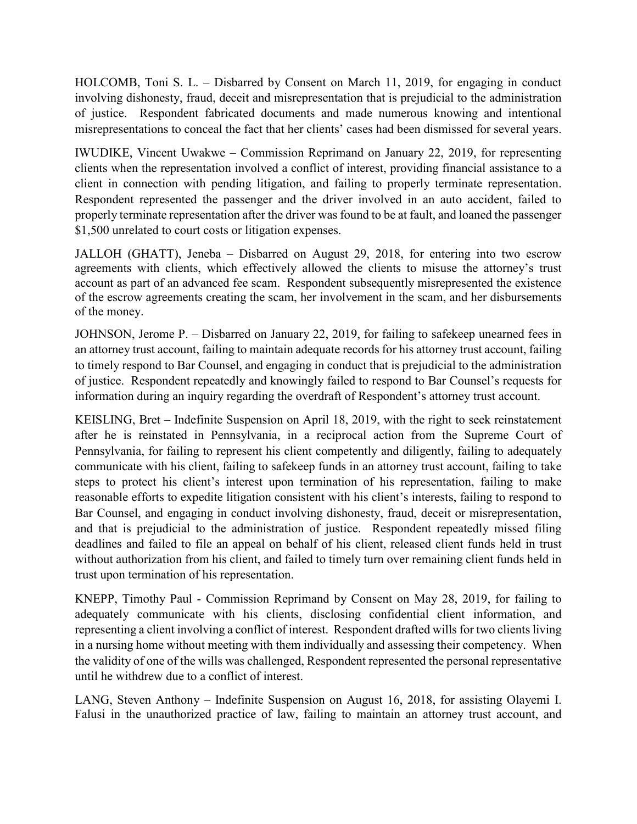HOLCOMB, Toni S. L. – Disbarred by Consent on March 11, 2019, for engaging in conduct involving dishonesty, fraud, deceit and misrepresentation that is prejudicial to the administration of justice. Respondent fabricated documents and made numerous knowing and intentional misrepresentations to conceal the fact that her clients' cases had been dismissed for several years.

IWUDIKE, Vincent Uwakwe – Commission Reprimand on January 22, 2019, for representing clients when the representation involved a conflict of interest, providing financial assistance to a client in connection with pending litigation, and failing to properly terminate representation. Respondent represented the passenger and the driver involved in an auto accident, failed to properly terminate representation after the driver was found to be at fault, and loaned the passenger \$1,500 unrelated to court costs or litigation expenses.

JALLOH (GHATT), Jeneba – Disbarred on August 29, 2018, for entering into two escrow agreements with clients, which effectively allowed the clients to misuse the attorney's trust account as part of an advanced fee scam. Respondent subsequently misrepresented the existence of the escrow agreements creating the scam, her involvement in the scam, and her disbursements of the money.

JOHNSON, Jerome P. – Disbarred on January 22, 2019, for failing to safekeep unearned fees in an attorney trust account, failing to maintain adequate records for his attorney trust account, failing to timely respond to Bar Counsel, and engaging in conduct that is prejudicial to the administration of justice. Respondent repeatedly and knowingly failed to respond to Bar Counsel's requests for information during an inquiry regarding the overdraft of Respondent's attorney trust account.

KEISLING, Bret – Indefinite Suspension on April 18, 2019, with the right to seek reinstatement after he is reinstated in Pennsylvania, in a reciprocal action from the Supreme Court of Pennsylvania, for failing to represent his client competently and diligently, failing to adequately communicate with his client, failing to safekeep funds in an attorney trust account, failing to take steps to protect his client's interest upon termination of his representation, failing to make reasonable efforts to expedite litigation consistent with his client's interests, failing to respond to Bar Counsel, and engaging in conduct involving dishonesty, fraud, deceit or misrepresentation, and that is prejudicial to the administration of justice. Respondent repeatedly missed filing deadlines and failed to file an appeal on behalf of his client, released client funds held in trust without authorization from his client, and failed to timely turn over remaining client funds held in trust upon termination of his representation.

KNEPP, Timothy Paul - Commission Reprimand by Consent on May 28, 2019, for failing to adequately communicate with his clients, disclosing confidential client information, and representing a client involving a conflict of interest. Respondent drafted wills for two clients living in a nursing home without meeting with them individually and assessing their competency. When the validity of one of the wills was challenged, Respondent represented the personal representative until he withdrew due to a conflict of interest.

LANG, Steven Anthony – Indefinite Suspension on August 16, 2018, for assisting Olayemi I. Falusi in the unauthorized practice of law, failing to maintain an attorney trust account, and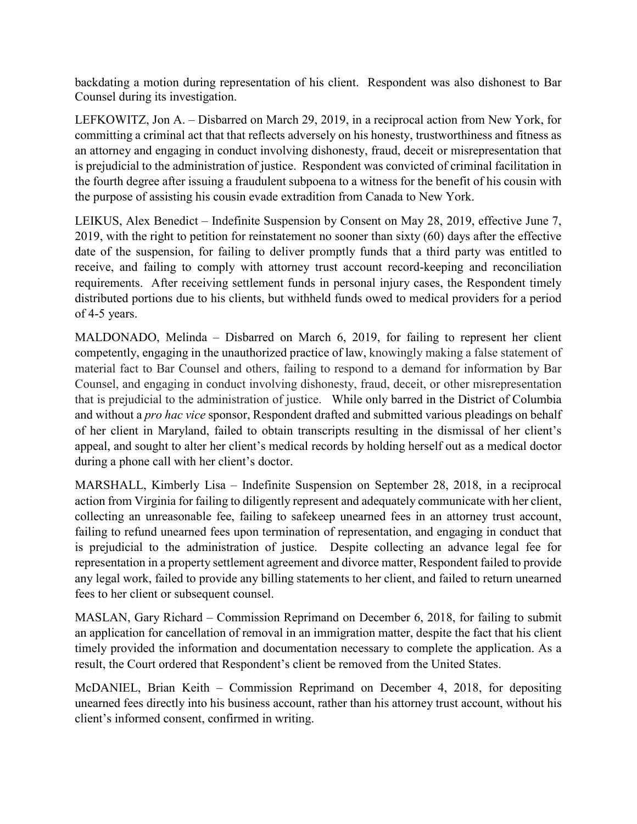backdating a motion during representation of his client. Respondent was also dishonest to Bar Counsel during its investigation.

LEFKOWITZ, Jon A. – Disbarred on March 29, 2019, in a reciprocal action from New York, for committing a criminal act that that reflects adversely on his honesty, trustworthiness and fitness as an attorney and engaging in conduct involving dishonesty, fraud, deceit or misrepresentation that is prejudicial to the administration of justice. Respondent was convicted of criminal facilitation in the fourth degree after issuing a fraudulent subpoena to a witness for the benefit of his cousin with the purpose of assisting his cousin evade extradition from Canada to New York.

LEIKUS, Alex Benedict – Indefinite Suspension by Consent on May 28, 2019, effective June 7, 2019, with the right to petition for reinstatement no sooner than sixty (60) days after the effective date of the suspension, for failing to deliver promptly funds that a third party was entitled to receive, and failing to comply with attorney trust account record-keeping and reconciliation requirements. After receiving settlement funds in personal injury cases, the Respondent timely distributed portions due to his clients, but withheld funds owed to medical providers for a period of 4-5 years.

MALDONADO, Melinda – Disbarred on March 6, 2019, for failing to represent her client competently, engaging in the unauthorized practice of law, knowingly making a false statement of material fact to Bar Counsel and others, failing to respond to a demand for information by Bar Counsel, and engaging in conduct involving dishonesty, fraud, deceit, or other misrepresentation that is prejudicial to the administration of justice. While only barred in the District of Columbia and without a *pro hac vice* sponsor, Respondent drafted and submitted various pleadings on behalf of her client in Maryland, failed to obtain transcripts resulting in the dismissal of her client's appeal, and sought to alter her client's medical records by holding herself out as a medical doctor during a phone call with her client's doctor.

MARSHALL, Kimberly Lisa – Indefinite Suspension on September 28, 2018, in a reciprocal action from Virginia for failing to diligently represent and adequately communicate with her client, collecting an unreasonable fee, failing to safekeep unearned fees in an attorney trust account, failing to refund unearned fees upon termination of representation, and engaging in conduct that is prejudicial to the administration of justice. Despite collecting an advance legal fee for representation in a property settlement agreement and divorce matter, Respondent failed to provide any legal work, failed to provide any billing statements to her client, and failed to return unearned fees to her client or subsequent counsel.

MASLAN, Gary Richard – Commission Reprimand on December 6, 2018, for failing to submit an application for cancellation of removal in an immigration matter, despite the fact that his client timely provided the information and documentation necessary to complete the application. As a result, the Court ordered that Respondent's client be removed from the United States.

McDANIEL, Brian Keith – Commission Reprimand on December 4, 2018, for depositing unearned fees directly into his business account, rather than his attorney trust account, without his client's informed consent, confirmed in writing.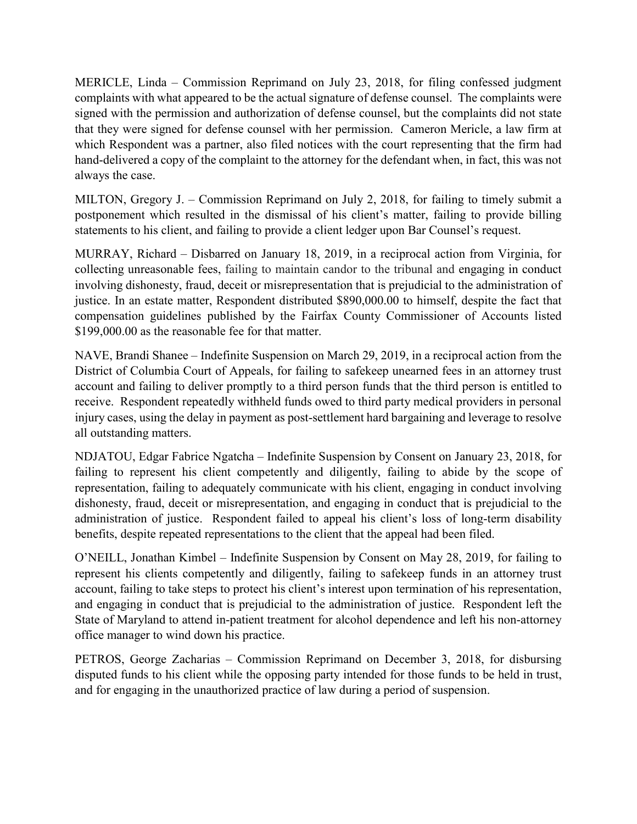MERICLE, Linda – Commission Reprimand on July 23, 2018, for filing confessed judgment complaints with what appeared to be the actual signature of defense counsel. The complaints were signed with the permission and authorization of defense counsel, but the complaints did not state that they were signed for defense counsel with her permission. Cameron Mericle, a law firm at which Respondent was a partner, also filed notices with the court representing that the firm had hand-delivered a copy of the complaint to the attorney for the defendant when, in fact, this was not always the case.

MILTON, Gregory J. – Commission Reprimand on July 2, 2018, for failing to timely submit a postponement which resulted in the dismissal of his client's matter, failing to provide billing statements to his client, and failing to provide a client ledger upon Bar Counsel's request.

MURRAY, Richard – Disbarred on January 18, 2019, in a reciprocal action from Virginia, for collecting unreasonable fees, failing to maintain candor to the tribunal and engaging in conduct involving dishonesty, fraud, deceit or misrepresentation that is prejudicial to the administration of justice. In an estate matter, Respondent distributed \$890,000.00 to himself, despite the fact that compensation guidelines published by the Fairfax County Commissioner of Accounts listed \$199,000.00 as the reasonable fee for that matter.

NAVE, Brandi Shanee – Indefinite Suspension on March 29, 2019, in a reciprocal action from the District of Columbia Court of Appeals, for failing to safekeep unearned fees in an attorney trust account and failing to deliver promptly to a third person funds that the third person is entitled to receive. Respondent repeatedly withheld funds owed to third party medical providers in personal injury cases, using the delay in payment as post-settlement hard bargaining and leverage to resolve all outstanding matters.

NDJATOU, Edgar Fabrice Ngatcha – Indefinite Suspension by Consent on January 23, 2018, for failing to represent his client competently and diligently, failing to abide by the scope of representation, failing to adequately communicate with his client, engaging in conduct involving dishonesty, fraud, deceit or misrepresentation, and engaging in conduct that is prejudicial to the administration of justice. Respondent failed to appeal his client's loss of long-term disability benefits, despite repeated representations to the client that the appeal had been filed.

O'NEILL, Jonathan Kimbel – Indefinite Suspension by Consent on May 28, 2019, for failing to represent his clients competently and diligently, failing to safekeep funds in an attorney trust account, failing to take steps to protect his client's interest upon termination of his representation, and engaging in conduct that is prejudicial to the administration of justice. Respondent left the State of Maryland to attend in-patient treatment for alcohol dependence and left his non-attorney office manager to wind down his practice.

PETROS, George Zacharias – Commission Reprimand on December 3, 2018, for disbursing disputed funds to his client while the opposing party intended for those funds to be held in trust, and for engaging in the unauthorized practice of law during a period of suspension.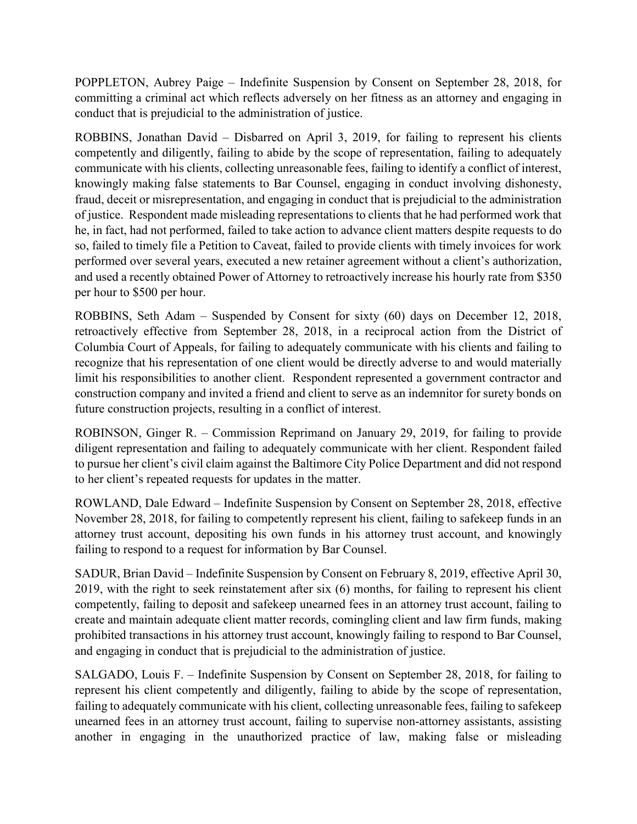POPPLETON, Aubrey Paige – Indefinite Suspension by Consent on September 28, 2018, for committing a criminal act which reflects adversely on her fitness as an attorney and engaging in conduct that is prejudicial to the administration of justice.

ROBBINS, Jonathan David – Disbarred on April 3, 2019, for failing to represent his clients competently and diligently, failing to abide by the scope of representation, failing to adequately communicate with his clients, collecting unreasonable fees, failing to identify a conflict of interest, knowingly making false statements to Bar Counsel, engaging in conduct involving dishonesty, fraud, deceit or misrepresentation, and engaging in conduct that is prejudicial to the administration of justice. Respondent made misleading representations to clients that he had performed work that he, in fact, had not performed, failed to take action to advance client matters despite requests to do so, failed to timely file a Petition to Caveat, failed to provide clients with timely invoices for work performed over several years, executed a new retainer agreement without a client's authorization, and used a recently obtained Power of Attorney to retroactively increase his hourly rate from \$350 per hour to \$500 per hour.

ROBBINS, Seth Adam – Suspended by Consent for sixty (60) days on December 12, 2018, retroactively effective from September 28, 2018, in a reciprocal action from the District of Columbia Court of Appeals, for failing to adequately communicate with his clients and failing to recognize that his representation of one client would be directly adverse to and would materially limit his responsibilities to another client. Respondent represented a government contractor and construction company and invited a friend and client to serve as an indemnitor for surety bonds on future construction projects, resulting in a conflict of interest.

ROBINSON, Ginger R. – Commission Reprimand on January 29, 2019, for failing to provide diligent representation and failing to adequately communicate with her client. Respondent failed to pursue her client's civil claim against the Baltimore City Police Department and did not respond to her client's repeated requests for updates in the matter.

ROWLAND, Dale Edward – Indefinite Suspension by Consent on September 28, 2018, effective November 28, 2018, for failing to competently represent his client, failing to safekeep funds in an attorney trust account, depositing his own funds in his attorney trust account, and knowingly failing to respond to a request for information by Bar Counsel.

SADUR, Brian David – Indefinite Suspension by Consent on February 8, 2019, effective April 30, 2019, with the right to seek reinstatement after six (6) months, for failing to represent his client competently, failing to deposit and safekeep unearned fees in an attorney trust account, failing to create and maintain adequate client matter records, comingling client and law firm funds, making prohibited transactions in his attorney trust account, knowingly failing to respond to Bar Counsel, and engaging in conduct that is prejudicial to the administration of justice.

SALGADO, Louis F. – Indefinite Suspension by Consent on September 28, 2018, for failing to represent his client competently and diligently, failing to abide by the scope of representation, failing to adequately communicate with his client, collecting unreasonable fees, failing to safekeep unearned fees in an attorney trust account, failing to supervise non-attorney assistants, assisting another in engaging in the unauthorized practice of law, making false or misleading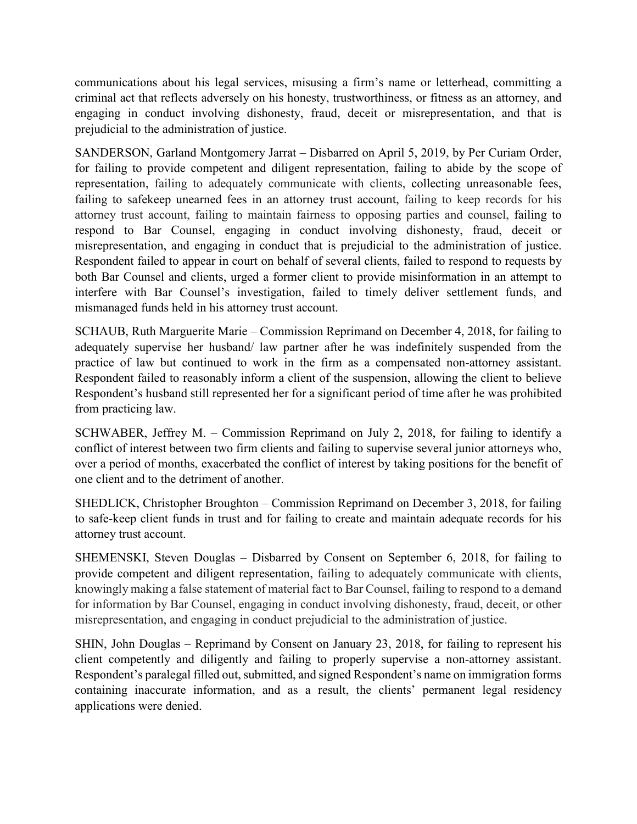communications about his legal services, misusing a firm's name or letterhead, committing a criminal act that reflects adversely on his honesty, trustworthiness, or fitness as an attorney, and engaging in conduct involving dishonesty, fraud, deceit or misrepresentation, and that is prejudicial to the administration of justice.

SANDERSON, Garland Montgomery Jarrat – Disbarred on April 5, 2019, by Per Curiam Order, for failing to provide competent and diligent representation, failing to abide by the scope of representation, failing to adequately communicate with clients, collecting unreasonable fees, failing to safekeep unearned fees in an attorney trust account, failing to keep records for his attorney trust account, failing to maintain fairness to opposing parties and counsel, failing to respond to Bar Counsel, engaging in conduct involving dishonesty, fraud, deceit or misrepresentation, and engaging in conduct that is prejudicial to the administration of justice. Respondent failed to appear in court on behalf of several clients, failed to respond to requests by both Bar Counsel and clients, urged a former client to provide misinformation in an attempt to interfere with Bar Counsel's investigation, failed to timely deliver settlement funds, and mismanaged funds held in his attorney trust account.

SCHAUB, Ruth Marguerite Marie – Commission Reprimand on December 4, 2018, for failing to adequately supervise her husband/ law partner after he was indefinitely suspended from the practice of law but continued to work in the firm as a compensated non-attorney assistant. Respondent failed to reasonably inform a client of the suspension, allowing the client to believe Respondent's husband still represented her for a significant period of time after he was prohibited from practicing law.

SCHWABER, Jeffrey M. – Commission Reprimand on July 2, 2018, for failing to identify a conflict of interest between two firm clients and failing to supervise several junior attorneys who, over a period of months, exacerbated the conflict of interest by taking positions for the benefit of one client and to the detriment of another.

SHEDLICK, Christopher Broughton – Commission Reprimand on December 3, 2018, for failing to safe-keep client funds in trust and for failing to create and maintain adequate records for his attorney trust account.

SHEMENSKI, Steven Douglas – Disbarred by Consent on September 6, 2018, for failing to provide competent and diligent representation, failing to adequately communicate with clients, knowingly making a false statement of material fact to Bar Counsel, failing to respond to a demand for information by Bar Counsel, engaging in conduct involving dishonesty, fraud, deceit, or other misrepresentation, and engaging in conduct prejudicial to the administration of justice.

SHIN, John Douglas – Reprimand by Consent on January 23, 2018, for failing to represent his client competently and diligently and failing to properly supervise a non-attorney assistant. Respondent's paralegal filled out, submitted, and signed Respondent's name on immigration forms containing inaccurate information, and as a result, the clients' permanent legal residency applications were denied.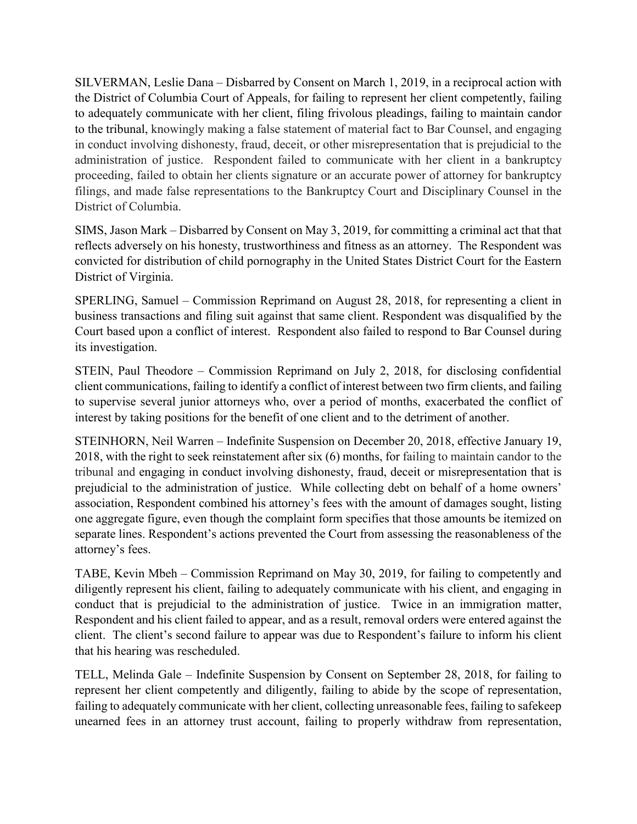SILVERMAN, Leslie Dana – Disbarred by Consent on March 1, 2019, in a reciprocal action with the District of Columbia Court of Appeals, for failing to represent her client competently, failing to adequately communicate with her client, filing frivolous pleadings, failing to maintain candor to the tribunal, knowingly making a false statement of material fact to Bar Counsel, and engaging in conduct involving dishonesty, fraud, deceit, or other misrepresentation that is prejudicial to the administration of justice. Respondent failed to communicate with her client in a bankruptcy proceeding, failed to obtain her clients signature or an accurate power of attorney for bankruptcy filings, and made false representations to the Bankruptcy Court and Disciplinary Counsel in the District of Columbia.

SIMS, Jason Mark – Disbarred by Consent on May 3, 2019, for committing a criminal act that that reflects adversely on his honesty, trustworthiness and fitness as an attorney. The Respondent was convicted for distribution of child pornography in the United States District Court for the Eastern District of Virginia.

SPERLING, Samuel – Commission Reprimand on August 28, 2018, for representing a client in business transactions and filing suit against that same client. Respondent was disqualified by the Court based upon a conflict of interest. Respondent also failed to respond to Bar Counsel during its investigation.

STEIN, Paul Theodore – Commission Reprimand on July 2, 2018, for disclosing confidential client communications, failing to identify a conflict of interest between two firm clients, and failing to supervise several junior attorneys who, over a period of months, exacerbated the conflict of interest by taking positions for the benefit of one client and to the detriment of another.

STEINHORN, Neil Warren – Indefinite Suspension on December 20, 2018, effective January 19, 2018, with the right to seek reinstatement after six (6) months, for failing to maintain candor to the tribunal and engaging in conduct involving dishonesty, fraud, deceit or misrepresentation that is prejudicial to the administration of justice. While collecting debt on behalf of a home owners' association, Respondent combined his attorney's fees with the amount of damages sought, listing one aggregate figure, even though the complaint form specifies that those amounts be itemized on separate lines. Respondent's actions prevented the Court from assessing the reasonableness of the attorney's fees.

TABE, Kevin Mbeh – Commission Reprimand on May 30, 2019, for failing to competently and diligently represent his client, failing to adequately communicate with his client, and engaging in conduct that is prejudicial to the administration of justice. Twice in an immigration matter, Respondent and his client failed to appear, and as a result, removal orders were entered against the client. The client's second failure to appear was due to Respondent's failure to inform his client that his hearing was rescheduled.

TELL, Melinda Gale – Indefinite Suspension by Consent on September 28, 2018, for failing to represent her client competently and diligently, failing to abide by the scope of representation, failing to adequately communicate with her client, collecting unreasonable fees, failing to safekeep unearned fees in an attorney trust account, failing to properly withdraw from representation,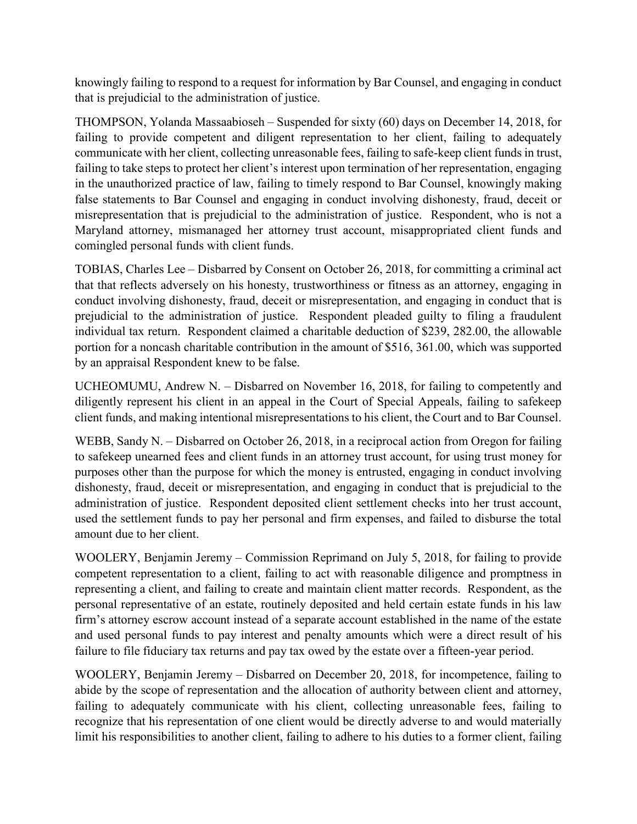knowingly failing to respond to a request for information by Bar Counsel, and engaging in conduct that is prejudicial to the administration of justice.

THOMPSON, Yolanda Massaabioseh – Suspended for sixty (60) days on December 14, 2018, for failing to provide competent and diligent representation to her client, failing to adequately communicate with her client, collecting unreasonable fees, failing to safe-keep client funds in trust, failing to take steps to protect her client's interest upon termination of her representation, engaging in the unauthorized practice of law, failing to timely respond to Bar Counsel, knowingly making false statements to Bar Counsel and engaging in conduct involving dishonesty, fraud, deceit or misrepresentation that is prejudicial to the administration of justice. Respondent, who is not a Maryland attorney, mismanaged her attorney trust account, misappropriated client funds and comingled personal funds with client funds.

TOBIAS, Charles Lee – Disbarred by Consent on October 26, 2018, for committing a criminal act that that reflects adversely on his honesty, trustworthiness or fitness as an attorney, engaging in conduct involving dishonesty, fraud, deceit or misrepresentation, and engaging in conduct that is prejudicial to the administration of justice. Respondent pleaded guilty to filing a fraudulent individual tax return. Respondent claimed a charitable deduction of \$239, 282.00, the allowable portion for a noncash charitable contribution in the amount of \$516, 361.00, which was supported by an appraisal Respondent knew to be false.

UCHEOMUMU, Andrew N. – Disbarred on November 16, 2018, for failing to competently and diligently represent his client in an appeal in the Court of Special Appeals, failing to safekeep client funds, and making intentional misrepresentations to his client, the Court and to Bar Counsel.

WEBB, Sandy N. – Disbarred on October 26, 2018, in a reciprocal action from Oregon for failing to safekeep unearned fees and client funds in an attorney trust account, for using trust money for purposes other than the purpose for which the money is entrusted, engaging in conduct involving dishonesty, fraud, deceit or misrepresentation, and engaging in conduct that is prejudicial to the administration of justice. Respondent deposited client settlement checks into her trust account, used the settlement funds to pay her personal and firm expenses, and failed to disburse the total amount due to her client.

WOOLERY, Benjamin Jeremy – Commission Reprimand on July 5, 2018, for failing to provide competent representation to a client, failing to act with reasonable diligence and promptness in representing a client, and failing to create and maintain client matter records. Respondent, as the personal representative of an estate, routinely deposited and held certain estate funds in his law firm's attorney escrow account instead of a separate account established in the name of the estate and used personal funds to pay interest and penalty amounts which were a direct result of his failure to file fiduciary tax returns and pay tax owed by the estate over a fifteen-year period.

WOOLERY, Benjamin Jeremy – Disbarred on December 20, 2018, for incompetence, failing to abide by the scope of representation and the allocation of authority between client and attorney, failing to adequately communicate with his client, collecting unreasonable fees, failing to recognize that his representation of one client would be directly adverse to and would materially limit his responsibilities to another client, failing to adhere to his duties to a former client, failing